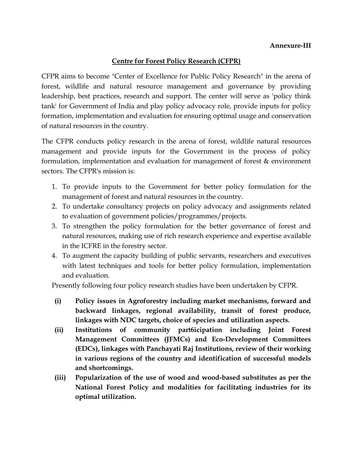## Annexure-III

## Centre for Forest Policy Research (CFPR)

CFPR aims to become "Center of Excellence for Public Policy Research" in the arena of forest, wildlife and natural resource management and governance by providing leadership, best practices, research and support. The center will serve as 'policy think tank' for Government of India and play policy advocacy role, provide inputs for policy formation, implementation and evaluation for ensuring optimal usage and conservation of natural resources in the country.

The CFPR conducts policy research in the arena of forest, wildlife natural resources management and provide inputs for the Government in the process of policy formulation, implementation and evaluation for management of forest & environment sectors. The CFPR's mission is:

- 1. To provide inputs to the Government for better policy formulation for the management of forest and natural resources in the country.
- 2. To undertake consultancy projects on policy advocacy and assignments related to evaluation of government policies/programmes/projects.
- 3. To strengthen the policy formulation for the better governance of forest and natural resources, making use of rich research experience and expertise available in the ICFRE in the forestry sector.
- 4. To augment the capacity building of public servants, researchers and executives with latest techniques and tools for better policy formulation, implementation and evaluation.

Presently following four policy research studies have been undertaken by CFPR.

- (i) Policy issues in Agroforestry including market mechanisms, forward and backward linkages, regional availability, transit of forest produce, linkages with NDC targets, choice of species and utilization aspects.
- (ii) Institutions of community part6icipation including Joint Forest Management Committees (JFMCs) and Eco-Development Committees (EDCs), linkages with Panchayati Raj Institutions, review of their working in various regions of the country and identification of successful models and shortcomings.
- (iii) Popularization of the use of wood and wood-based substitutes as per the National Forest Policy and modalities for facilitating industries for its optimal utilization.